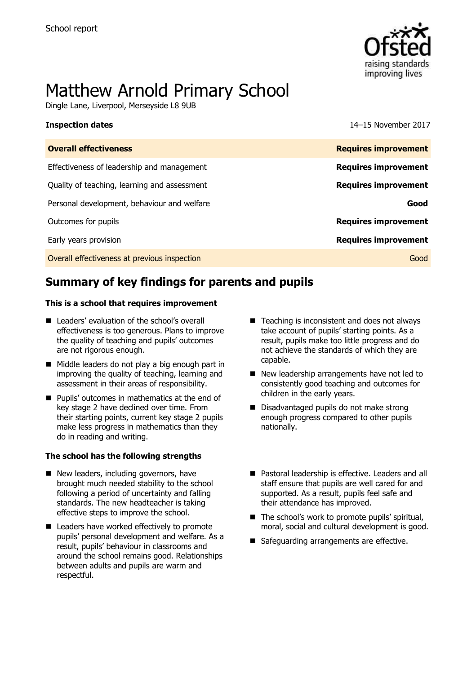

# Matthew Arnold Primary School

Dingle Lane, Liverpool, Merseyside L8 9UB

**Inspection dates** 14–15 November 2017

| <b>Overall effectiveness</b>                 | <b>Requires improvement</b> |
|----------------------------------------------|-----------------------------|
| Effectiveness of leadership and management   | <b>Requires improvement</b> |
| Quality of teaching, learning and assessment | <b>Requires improvement</b> |
| Personal development, behaviour and welfare  | Good                        |
| Outcomes for pupils                          | <b>Requires improvement</b> |
| Early years provision                        | <b>Requires improvement</b> |
| Overall effectiveness at previous inspection | Good                        |
|                                              |                             |

# **Summary of key findings for parents and pupils**

### **This is a school that requires improvement**

- Leaders' evaluation of the school's overall effectiveness is too generous. Plans to improve the quality of teaching and pupils' outcomes are not rigorous enough.
- Middle leaders do not play a big enough part in improving the quality of teaching, learning and assessment in their areas of responsibility.
- **Pupils' outcomes in mathematics at the end of** key stage 2 have declined over time. From their starting points, current key stage 2 pupils make less progress in mathematics than they do in reading and writing.

### **The school has the following strengths**

- New leaders, including governors, have brought much needed stability to the school following a period of uncertainty and falling standards. The new headteacher is taking effective steps to improve the school.
- Leaders have worked effectively to promote pupils' personal development and welfare. As a result, pupils' behaviour in classrooms and around the school remains good. Relationships between adults and pupils are warm and respectful.
- $\blacksquare$  Teaching is inconsistent and does not always take account of pupils' starting points. As a result, pupils make too little progress and do not achieve the standards of which they are capable.
- New leadership arrangements have not led to consistently good teaching and outcomes for children in the early years.
- Disadvantaged pupils do not make strong enough progress compared to other pupils nationally.
- Pastoral leadership is effective. Leaders and all staff ensure that pupils are well cared for and supported. As a result, pupils feel safe and their attendance has improved.
- The school's work to promote pupils' spiritual, moral, social and cultural development is good.
- Safeguarding arrangements are effective.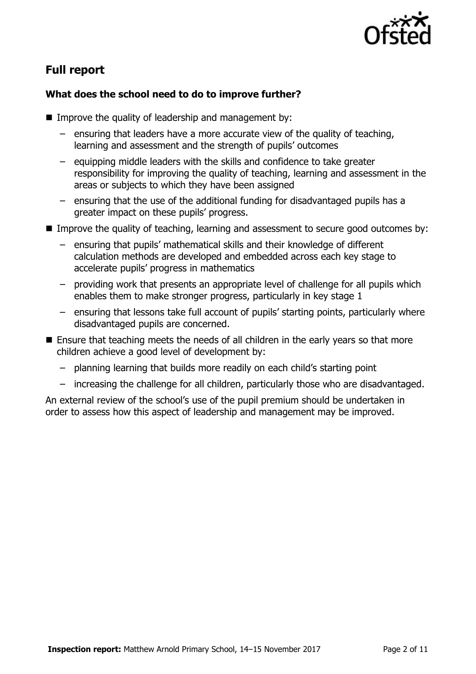

# **Full report**

### **What does the school need to do to improve further?**

- $\blacksquare$  Improve the quality of leadership and management by:
	- ensuring that leaders have a more accurate view of the quality of teaching, learning and assessment and the strength of pupils' outcomes
	- equipping middle leaders with the skills and confidence to take greater responsibility for improving the quality of teaching, learning and assessment in the areas or subjects to which they have been assigned
	- ensuring that the use of the additional funding for disadvantaged pupils has a greater impact on these pupils' progress.
- Improve the quality of teaching, learning and assessment to secure good outcomes by:
	- ensuring that pupils' mathematical skills and their knowledge of different calculation methods are developed and embedded across each key stage to accelerate pupils' progress in mathematics
	- providing work that presents an appropriate level of challenge for all pupils which enables them to make stronger progress, particularly in key stage 1
	- ensuring that lessons take full account of pupils' starting points, particularly where disadvantaged pupils are concerned.
- **E** Ensure that teaching meets the needs of all children in the early years so that more children achieve a good level of development by:
	- planning learning that builds more readily on each child's starting point
	- increasing the challenge for all children, particularly those who are disadvantaged.

An external review of the school's use of the pupil premium should be undertaken in order to assess how this aspect of leadership and management may be improved.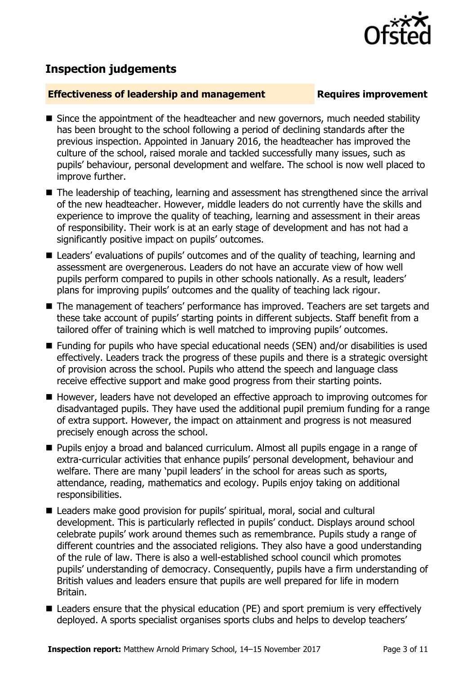# **Inspection judgements**

### **Effectiveness of leadership and management Requires improvement**

- Since the appointment of the headteacher and new governors, much needed stability has been brought to the school following a period of declining standards after the previous inspection. Appointed in January 2016, the headteacher has improved the culture of the school, raised morale and tackled successfully many issues, such as pupils' behaviour, personal development and welfare. The school is now well placed to improve further.
- The leadership of teaching, learning and assessment has strengthened since the arrival of the new headteacher. However, middle leaders do not currently have the skills and experience to improve the quality of teaching, learning and assessment in their areas of responsibility. Their work is at an early stage of development and has not had a significantly positive impact on pupils' outcomes.
- Leaders' evaluations of pupils' outcomes and of the quality of teaching, learning and assessment are overgenerous. Leaders do not have an accurate view of how well pupils perform compared to pupils in other schools nationally. As a result, leaders' plans for improving pupils' outcomes and the quality of teaching lack rigour.
- The management of teachers' performance has improved. Teachers are set targets and these take account of pupils' starting points in different subjects. Staff benefit from a tailored offer of training which is well matched to improving pupils' outcomes.
- Funding for pupils who have special educational needs (SEN) and/or disabilities is used effectively. Leaders track the progress of these pupils and there is a strategic oversight of provision across the school. Pupils who attend the speech and language class receive effective support and make good progress from their starting points.
- However, leaders have not developed an effective approach to improving outcomes for disadvantaged pupils. They have used the additional pupil premium funding for a range of extra support. However, the impact on attainment and progress is not measured precisely enough across the school.
- **Pupils enjoy a broad and balanced curriculum. Almost all pupils engage in a range of** extra-curricular activities that enhance pupils' personal development, behaviour and welfare. There are many 'pupil leaders' in the school for areas such as sports, attendance, reading, mathematics and ecology. Pupils enjoy taking on additional responsibilities.
- Leaders make good provision for pupils' spiritual, moral, social and cultural development. This is particularly reflected in pupils' conduct. Displays around school celebrate pupils' work around themes such as remembrance. Pupils study a range of different countries and the associated religions. They also have a good understanding of the rule of law. There is also a well-established school council which promotes pupils' understanding of democracy. Consequently, pupils have a firm understanding of British values and leaders ensure that pupils are well prepared for life in modern Britain.
- Leaders ensure that the physical education (PE) and sport premium is very effectively deployed. A sports specialist organises sports clubs and helps to develop teachers'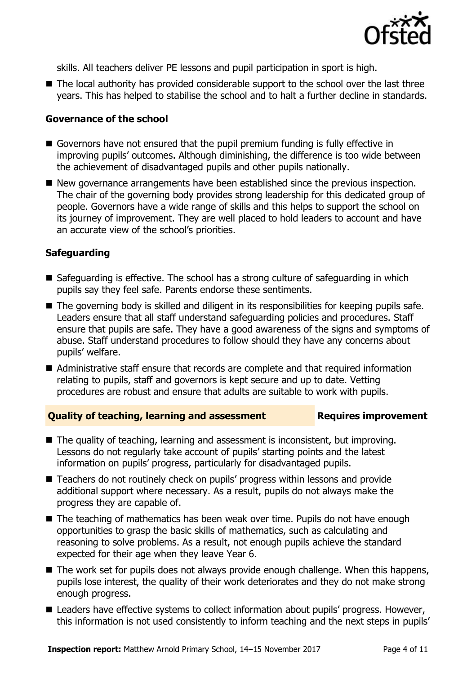

skills. All teachers deliver PE lessons and pupil participation in sport is high.

■ The local authority has provided considerable support to the school over the last three years. This has helped to stabilise the school and to halt a further decline in standards.

### **Governance of the school**

- Governors have not ensured that the pupil premium funding is fully effective in improving pupils' outcomes. Although diminishing, the difference is too wide between the achievement of disadvantaged pupils and other pupils nationally.
- New governance arrangements have been established since the previous inspection. The chair of the governing body provides strong leadership for this dedicated group of people. Governors have a wide range of skills and this helps to support the school on its journey of improvement. They are well placed to hold leaders to account and have an accurate view of the school's priorities.

### **Safeguarding**

- Safeguarding is effective. The school has a strong culture of safeguarding in which pupils say they feel safe. Parents endorse these sentiments.
- The governing body is skilled and diligent in its responsibilities for keeping pupils safe. Leaders ensure that all staff understand safeguarding policies and procedures. Staff ensure that pupils are safe. They have a good awareness of the signs and symptoms of abuse. Staff understand procedures to follow should they have any concerns about pupils' welfare.
- Administrative staff ensure that records are complete and that required information relating to pupils, staff and governors is kept secure and up to date. Vetting procedures are robust and ensure that adults are suitable to work with pupils.

### **Quality of teaching, learning and assessment Requires improvement**

- The quality of teaching, learning and assessment is inconsistent, but improving. Lessons do not regularly take account of pupils' starting points and the latest information on pupils' progress, particularly for disadvantaged pupils.
- Teachers do not routinely check on pupils' progress within lessons and provide additional support where necessary. As a result, pupils do not always make the progress they are capable of.
- The teaching of mathematics has been weak over time. Pupils do not have enough opportunities to grasp the basic skills of mathematics, such as calculating and reasoning to solve problems. As a result, not enough pupils achieve the standard expected for their age when they leave Year 6.
- The work set for pupils does not always provide enough challenge. When this happens, pupils lose interest, the quality of their work deteriorates and they do not make strong enough progress.
- Leaders have effective systems to collect information about pupils' progress. However, this information is not used consistently to inform teaching and the next steps in pupils'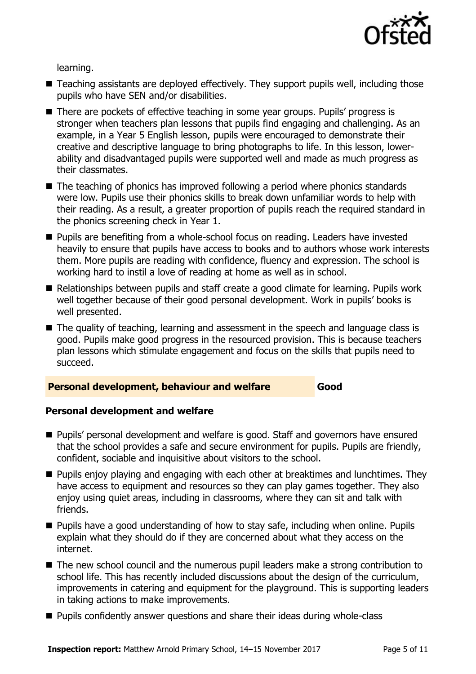

learning.

- Teaching assistants are deployed effectively. They support pupils well, including those pupils who have SEN and/or disabilities.
- There are pockets of effective teaching in some year groups. Pupils' progress is stronger when teachers plan lessons that pupils find engaging and challenging. As an example, in a Year 5 English lesson, pupils were encouraged to demonstrate their creative and descriptive language to bring photographs to life. In this lesson, lowerability and disadvantaged pupils were supported well and made as much progress as their classmates.
- The teaching of phonics has improved following a period where phonics standards were low. Pupils use their phonics skills to break down unfamiliar words to help with their reading. As a result, a greater proportion of pupils reach the required standard in the phonics screening check in Year 1.
- **Pupils are benefiting from a whole-school focus on reading. Leaders have invested** heavily to ensure that pupils have access to books and to authors whose work interests them. More pupils are reading with confidence, fluency and expression. The school is working hard to instil a love of reading at home as well as in school.
- Relationships between pupils and staff create a good climate for learning. Pupils work well together because of their good personal development. Work in pupils' books is well presented.
- The quality of teaching, learning and assessment in the speech and language class is good. Pupils make good progress in the resourced provision. This is because teachers plan lessons which stimulate engagement and focus on the skills that pupils need to succeed.

### **Personal development, behaviour and welfare Good**

### **Personal development and welfare**

- **Pupils' personal development and welfare is good. Staff and governors have ensured** that the school provides a safe and secure environment for pupils. Pupils are friendly, confident, sociable and inquisitive about visitors to the school.
- **Pupils enjoy playing and engaging with each other at breaktimes and lunchtimes. They** have access to equipment and resources so they can play games together. They also enjoy using quiet areas, including in classrooms, where they can sit and talk with friends.
- Pupils have a good understanding of how to stay safe, including when online. Pupils explain what they should do if they are concerned about what they access on the internet.
- The new school council and the numerous pupil leaders make a strong contribution to school life. This has recently included discussions about the design of the curriculum, improvements in catering and equipment for the playground. This is supporting leaders in taking actions to make improvements.
- **Pupils confidently answer questions and share their ideas during whole-class**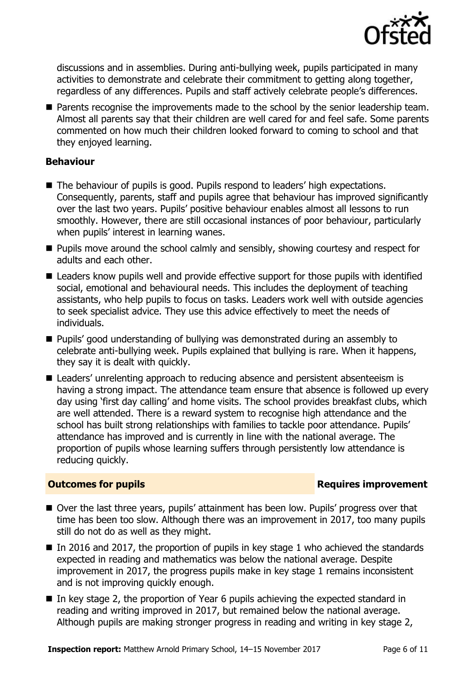

discussions and in assemblies. During anti-bullying week, pupils participated in many activities to demonstrate and celebrate their commitment to getting along together, regardless of any differences. Pupils and staff actively celebrate people's differences.

**Parents recognise the improvements made to the school by the senior leadership team.** Almost all parents say that their children are well cared for and feel safe. Some parents commented on how much their children looked forward to coming to school and that they enjoyed learning.

### **Behaviour**

- The behaviour of pupils is good. Pupils respond to leaders' high expectations. Consequently, parents, staff and pupils agree that behaviour has improved significantly over the last two years. Pupils' positive behaviour enables almost all lessons to run smoothly. However, there are still occasional instances of poor behaviour, particularly when pupils' interest in learning wanes.
- **Pupils move around the school calmly and sensibly, showing courtesy and respect for** adults and each other.
- Leaders know pupils well and provide effective support for those pupils with identified social, emotional and behavioural needs. This includes the deployment of teaching assistants, who help pupils to focus on tasks. Leaders work well with outside agencies to seek specialist advice. They use this advice effectively to meet the needs of individuals.
- Pupils' good understanding of bullying was demonstrated during an assembly to celebrate anti-bullying week. Pupils explained that bullying is rare. When it happens, they say it is dealt with quickly.
- Leaders' unrelenting approach to reducing absence and persistent absenteeism is having a strong impact. The attendance team ensure that absence is followed up every day using 'first day calling' and home visits. The school provides breakfast clubs, which are well attended. There is a reward system to recognise high attendance and the school has built strong relationships with families to tackle poor attendance. Pupils' attendance has improved and is currently in line with the national average. The proportion of pupils whose learning suffers through persistently low attendance is reducing quickly.

### **Outcomes for pupils Requires improvement**

- Over the last three years, pupils' attainment has been low. Pupils' progress over that time has been too slow. Although there was an improvement in 2017, too many pupils still do not do as well as they might.
- In 2016 and 2017, the proportion of pupils in key stage 1 who achieved the standards expected in reading and mathematics was below the national average. Despite improvement in 2017, the progress pupils make in key stage 1 remains inconsistent and is not improving quickly enough.
- In key stage 2, the proportion of Year 6 pupils achieving the expected standard in reading and writing improved in 2017, but remained below the national average. Although pupils are making stronger progress in reading and writing in key stage 2,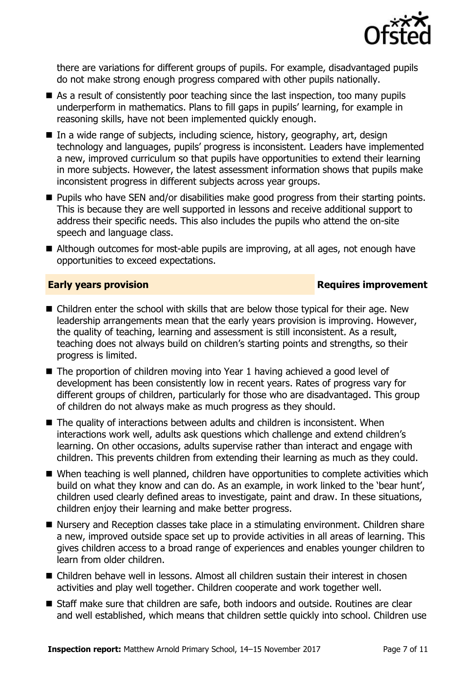

there are variations for different groups of pupils. For example, disadvantaged pupils do not make strong enough progress compared with other pupils nationally.

- As a result of consistently poor teaching since the last inspection, too many pupils underperform in mathematics. Plans to fill gaps in pupils' learning, for example in reasoning skills, have not been implemented quickly enough.
- In a wide range of subjects, including science, history, geography, art, design technology and languages, pupils' progress is inconsistent. Leaders have implemented a new, improved curriculum so that pupils have opportunities to extend their learning in more subjects. However, the latest assessment information shows that pupils make inconsistent progress in different subjects across year groups.
- **Pupils who have SEN and/or disabilities make good progress from their starting points.** This is because they are well supported in lessons and receive additional support to address their specific needs. This also includes the pupils who attend the on-site speech and language class.
- Although outcomes for most-able pupils are improving, at all ages, not enough have opportunities to exceed expectations.

### **Early years provision Requires improvement**

- Children enter the school with skills that are below those typical for their age. New leadership arrangements mean that the early years provision is improving. However, the quality of teaching, learning and assessment is still inconsistent. As a result, teaching does not always build on children's starting points and strengths, so their progress is limited.
- The proportion of children moving into Year 1 having achieved a good level of development has been consistently low in recent years. Rates of progress vary for different groups of children, particularly for those who are disadvantaged. This group of children do not always make as much progress as they should.
- $\blacksquare$  The quality of interactions between adults and children is inconsistent. When interactions work well, adults ask questions which challenge and extend children's learning. On other occasions, adults supervise rather than interact and engage with children. This prevents children from extending their learning as much as they could.
- When teaching is well planned, children have opportunities to complete activities which build on what they know and can do. As an example, in work linked to the 'bear hunt', children used clearly defined areas to investigate, paint and draw. In these situations, children enjoy their learning and make better progress.
- Nursery and Reception classes take place in a stimulating environment. Children share a new, improved outside space set up to provide activities in all areas of learning. This gives children access to a broad range of experiences and enables younger children to learn from older children.
- Children behave well in lessons. Almost all children sustain their interest in chosen activities and play well together. Children cooperate and work together well.
- Staff make sure that children are safe, both indoors and outside. Routines are clear and well established, which means that children settle quickly into school. Children use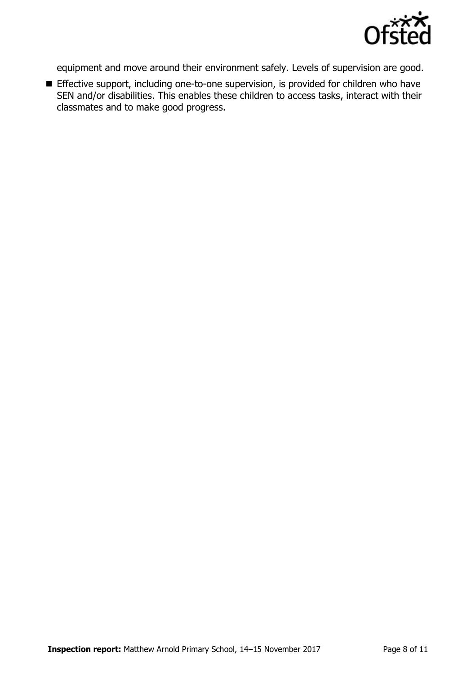

equipment and move around their environment safely. Levels of supervision are good.

**Effective support, including one-to-one supervision, is provided for children who have** SEN and/or disabilities. This enables these children to access tasks, interact with their classmates and to make good progress.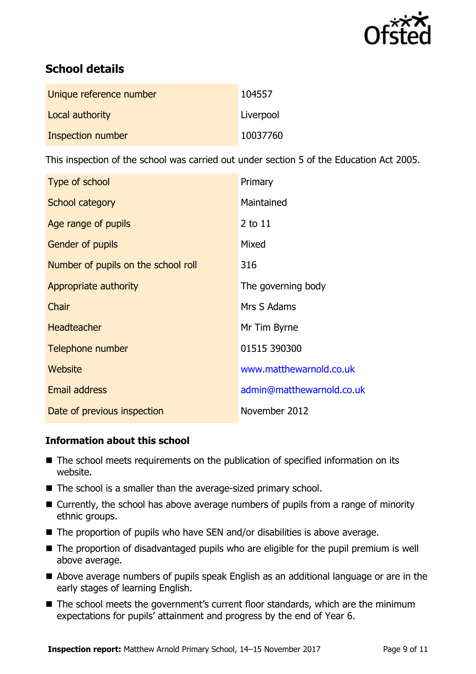

# **School details**

| Unique reference number | 104557    |
|-------------------------|-----------|
| Local authority         | Liverpool |
| Inspection number       | 10037760  |

This inspection of the school was carried out under section 5 of the Education Act 2005.

| Type of school                      | Primary                   |
|-------------------------------------|---------------------------|
| School category                     | Maintained                |
| Age range of pupils                 | $2$ to $11$               |
| Gender of pupils                    | Mixed                     |
| Number of pupils on the school roll | 316                       |
| Appropriate authority               | The governing body        |
| Chair                               | Mrs S Adams               |
| <b>Headteacher</b>                  | Mr Tim Byrne              |
| Telephone number                    | 01515 390300              |
| Website                             | www.matthewarnold.co.uk   |
| <b>Email address</b>                | admin@matthewarnold.co.uk |
| Date of previous inspection         | November 2012             |

### **Information about this school**

- The school meets requirements on the publication of specified information on its website.
- The school is a smaller than the average-sized primary school.
- Currently, the school has above average numbers of pupils from a range of minority ethnic groups.
- The proportion of pupils who have SEN and/or disabilities is above average.
- The proportion of disadvantaged pupils who are eligible for the pupil premium is well above average.
- Above average numbers of pupils speak English as an additional language or are in the early stages of learning English.
- The school meets the government's current floor standards, which are the minimum expectations for pupils' attainment and progress by the end of Year 6.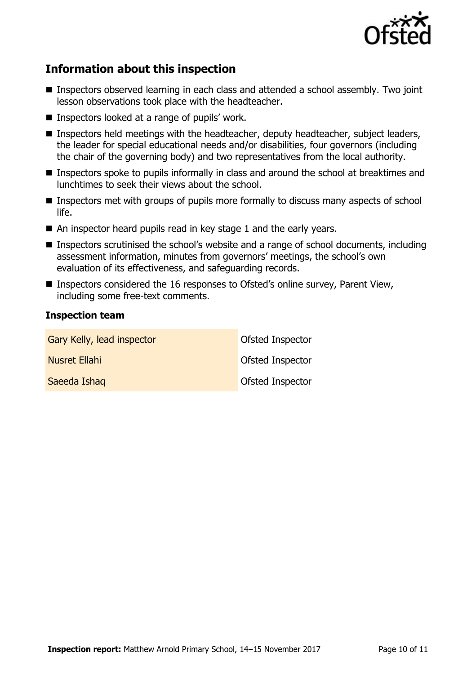

## **Information about this inspection**

- Inspectors observed learning in each class and attended a school assembly. Two joint lesson observations took place with the headteacher.
- Inspectors looked at a range of pupils' work.
- Inspectors held meetings with the headteacher, deputy headteacher, subject leaders, the leader for special educational needs and/or disabilities, four governors (including the chair of the governing body) and two representatives from the local authority.
- **Inspectors spoke to pupils informally in class and around the school at breaktimes and** lunchtimes to seek their views about the school.
- **Inspectors met with groups of pupils more formally to discuss many aspects of school** life.
- An inspector heard pupils read in key stage 1 and the early years.
- Inspectors scrutinised the school's website and a range of school documents, including assessment information, minutes from governors' meetings, the school's own evaluation of its effectiveness, and safeguarding records.
- Inspectors considered the 16 responses to Ofsted's online survey, Parent View, including some free-text comments.

### **Inspection team**

| Gary Kelly, lead inspector | <b>Ofsted Inspector</b> |
|----------------------------|-------------------------|
| Nusret Ellahi              | Ofsted Inspector        |
| Saeeda Ishaq               | Ofsted Inspector        |